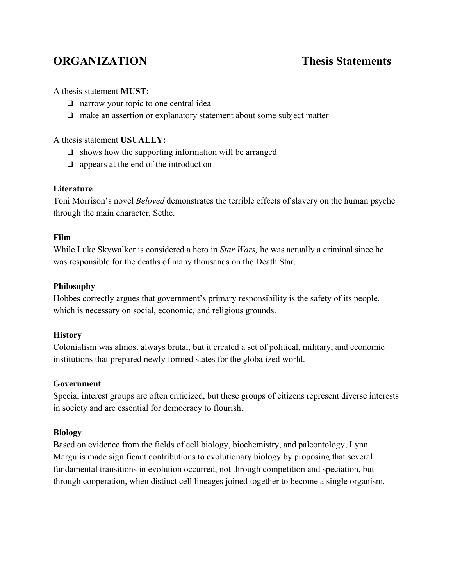# **ORGANIZATION Thesis Statements**

### A thesis statement **MUST:**

- ❏ narrow your topic to one central idea
- ❏ make an assertion or explanatory statement about some subject matter

#### A thesis statement **USUALLY:**

- $\Box$  shows how the supporting information will be arranged
- ❏ appears at the end of the introduction

#### **Literature**

Toni Morrison's novel *Beloved* demonstrates the terrible effects of slavery on the human psyche through the main character, Sethe.

### **Film**

While Luke Skywalker is considered a hero in *Star Wars,* he was actually a criminal since he was responsible for the deaths of many thousands on the Death Star.

### **Philosophy**

Hobbes correctly argues that government's primary responsibility is the safety of its people, which is necessary on social, economic, and religious grounds.

## **History**

Colonialism was almost always brutal, but it created a set of political, military, and economic institutions that prepared newly formed states for the globalized world.

## **Government**

Special interest groups are often criticized, but these groups of citizens represent diverse interests in society and are essential for democracy to flourish.

## **Biology**

Based on evidence from the fields of cell biology, biochemistry, and paleontology, Lynn Margulis made significant contributions to evolutionary biology by proposing that several fundamental transitions in evolution occurred, not through competition and speciation, but through cooperation, when distinct cell lineages joined together to become a single organism.